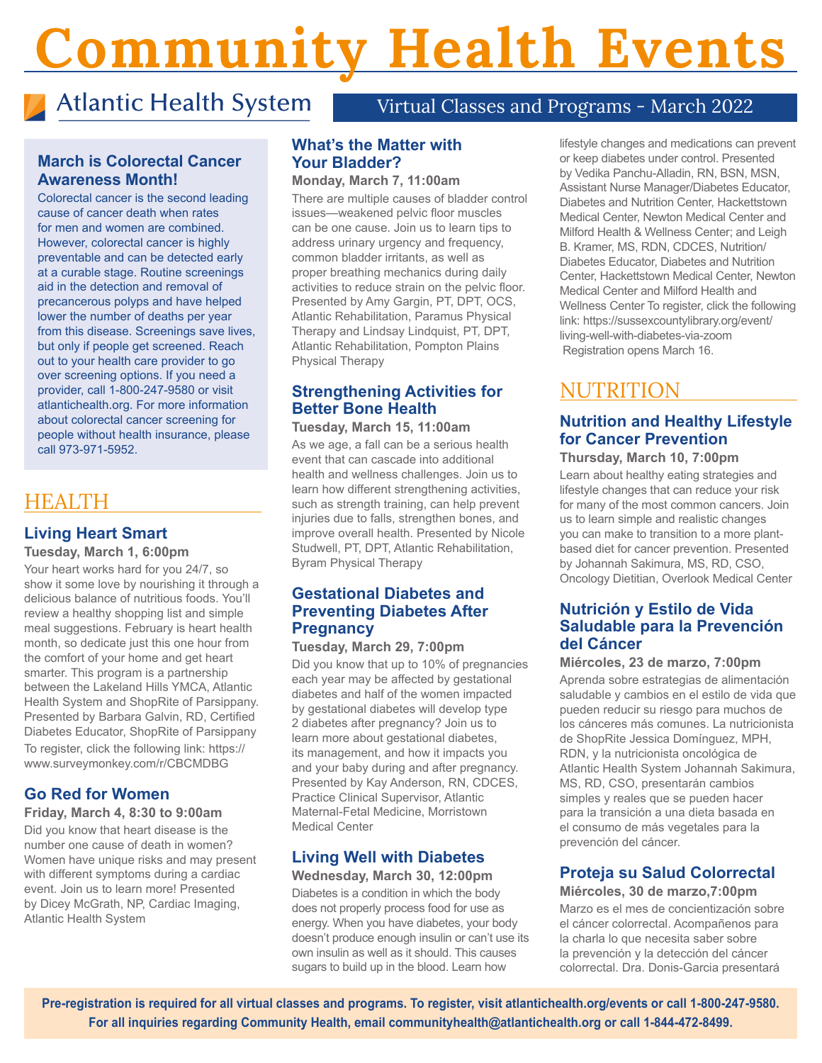# Community Health Events

# Atlantic Health System

# Virtual Classes and Programs - March 2022

# **March is Colorectal Cancer Awareness Month!**

Colorectal cancer is the second leading cause of cancer death when rates for men and women are combined. However, colorectal cancer is highly preventable and can be detected early at a curable stage. Routine screenings aid in the detection and removal of precancerous polyps and have helped lower the number of deaths per year from this disease. Screenings save lives, but only if people get screened. Reach out to your health care provider to go over screening options. If you need a provider, call 1-800-247-9580 or visit atlantichealth.org. For more information about colorectal cancer screening for people without health insurance, please call 973-971-5952.

# HEALTH

# **Living Heart Smart**

#### **Tuesday, March 1, 6:00pm**

Your heart works hard for you 24/7, so show it some love by nourishing it through a delicious balance of nutritious foods. You'll review a healthy shopping list and simple meal suggestions. February is heart health month, so dedicate just this one hour from the comfort of your home and get heart smarter. This program is a partnership between the Lakeland Hills YMCA, Atlantic Health System and ShopRite of Parsippany. Presented by Barbara Galvin, RD, Certified Diabetes Educator, ShopRite of Parsippany To register, click the following link: https:// www.surveymonkey.com/r/CBCMDBG

# **Go Red for Women**

#### **Friday, March 4, 8:30 to 9:00am**

Did you know that heart disease is the number one cause of death in women? Women have unique risks and may present with different symptoms during a cardiac event. Join us to learn more! Presented by Dicey McGrath, NP, Cardiac Imaging, Atlantic Health System

## **What's the Matter with Your Bladder?**

#### **Monday, March 7, 11:00am**

There are multiple causes of bladder control issues—weakened pelvic floor muscles can be one cause. Join us to learn tips to address urinary urgency and frequency, common bladder irritants, as well as proper breathing mechanics during daily activities to reduce strain on the pelvic floor. Presented by Amy Gargin, PT, DPT, OCS, Atlantic Rehabilitation, Paramus Physical Therapy and Lindsay Lindquist, PT, DPT, Atlantic Rehabilitation, Pompton Plains Physical Therapy

# **Strengthening Activities for Better Bone Health**

#### **Tuesday, March 15, 11:00am**

As we age, a fall can be a serious health event that can cascade into additional health and wellness challenges. Join us to learn how different strengthening activities, such as strength training, can help prevent injuries due to falls, strengthen bones, and improve overall health. Presented by Nicole Studwell, PT, DPT, Atlantic Rehabilitation, Byram Physical Therapy

# **Gestational Diabetes and Preventing Diabetes After Pregnancy**

#### **Tuesday, March 29, 7:00pm**

Did you know that up to 10% of pregnancies each year may be affected by gestational diabetes and half of the women impacted by gestational diabetes will develop type 2 diabetes after pregnancy? Join us to learn more about gestational diabetes, its management, and how it impacts you and your baby during and after pregnancy. Presented by Kay Anderson, RN, CDCES, Practice Clinical Supervisor, Atlantic Maternal-Fetal Medicine, Morristown Medical Center

# **Living Well with Diabetes**

**Wednesday, March 30, 12:00pm**  Diabetes is a condition in which the body does not properly process food for use as energy. When you have diabetes, your body doesn't produce enough insulin or can't use its own insulin as well as it should. This causes sugars to build up in the blood. Learn how

lifestyle changes and medications can prevent or keep diabetes under control. Presented by Vedika Panchu-Alladin, RN, BSN, MSN, Assistant Nurse Manager/Diabetes Educator, Diabetes and Nutrition Center, Hackettstown Medical Center, Newton Medical Center and Milford Health & Wellness Center; and Leigh B. Kramer, MS, RDN, CDCES, Nutrition/ Diabetes Educator, Diabetes and Nutrition Center, Hackettstown Medical Center, Newton Medical Center and Milford Health and Wellness Center To register, click the following link: https://sussexcountylibrary.org/event/ living-well-with-diabetes-via-zoom Registration opens March 16.

# NUTRITION

# **Nutrition and Healthy Lifestyle for Cancer Prevention**

**Thursday, March 10, 7:00pm**  Learn about healthy eating strategies and lifestyle changes that can reduce your risk for many of the most common cancers. Join us to learn simple and realistic changes you can make to transition to a more plantbased diet for cancer prevention. Presented by Johannah Sakimura, MS, RD, CSO, Oncology Dietitian, Overlook Medical Center

# **Nutrición y Estilo de Vida Saludable para la Prevención del Cáncer**

**Miércoles, 23 de marzo, 7:00pm** Aprenda sobre estrategias de alimentación saludable y cambios en el estilo de vida que pueden reducir su riesgo para muchos de los cánceres más comunes. La nutricionista de ShopRite Jessica Domínguez, MPH, RDN, y la nutricionista oncológica de Atlantic Health System Johannah Sakimura, MS, RD, CSO, presentarán cambios simples y reales que se pueden hacer para la transición a una dieta basada en el consumo de más vegetales para la prevención del cáncer.

## **Proteja su Salud Colorrectal Miércoles, 30 de marzo,7:00pm**

Marzo es el mes de concientización sobre el cáncer colorrectal. Acompañenos para la charla lo que necesita saber sobre la prevención y la detección del cáncer colorrectal. Dra. Donis-Garcia presentará

**Pre-registration is required for all virtual classes and programs. To register, visit atlantichealth.org/events or call 1-800-247-9580. For all inquiries regarding Community Health, email communityhealth@atlantichealth.org or call 1-844-472-8499.**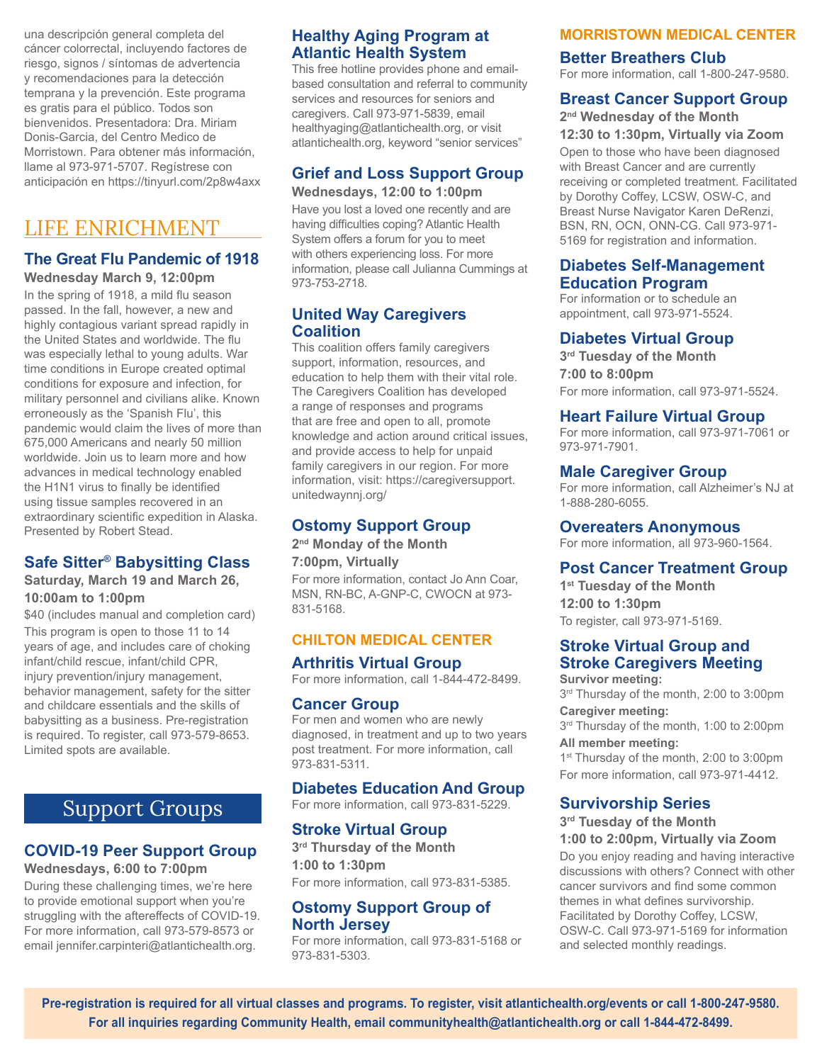una descripción general completa del cáncer colorrectal, incluyendo factores de riesgo, signos / síntomas de advertencia y recomendaciones para la detección temprana y la prevención. Este programa es gratis para el público. Todos son bienvenidos. Presentadora: Dra. Miriam Donis-Garcia, del Centro Medico de Morristown. Para obtener más información, llame al 973-971-5707. Regístrese con anticipación en https://tinyurl.com/2p8w4axx

# LIFE ENRICHMENT

# **The Great Flu Pandemic of 1918**

**Wednesday March 9, 12:00pm** 

In the spring of 1918, a mild flu season passed. In the fall, however, a new and highly contagious variant spread rapidly in the United States and worldwide. The flu was especially lethal to young adults. War time conditions in Europe created optimal conditions for exposure and infection, for military personnel and civilians alike. Known erroneously as the 'Spanish Flu', this pandemic would claim the lives of more than 675,000 Americans and nearly 50 million worldwide. Join us to learn more and how advances in medical technology enabled the H1N1 virus to finally be identified using tissue samples recovered in an extraordinary scientific expedition in Alaska. Presented by Robert Stead.

# **Safe Sitter® Babysitting Class**

#### **Saturday, March 19 and March 26, 10:00am to 1:00pm**

\$40 (includes manual and completion card) This program is open to those 11 to 14 years of age, and includes care of choking infant/child rescue, infant/child CPR, injury prevention/injury management, behavior management, safety for the sitter and childcare essentials and the skills of babysitting as a business. Pre-registration is required. To register, call 973-579-8653. Limited spots are available.

# Support Groups

# **COVID-19 Peer Support Group**

## **Wednesdays, 6:00 to 7:00pm**

During these challenging times, we're here to provide emotional support when you're struggling with the aftereffects of COVID-19. For more information, call 973-579-8573 or email jennifer.carpinteri@atlantichealth.org.

# **Healthy Aging Program at Atlantic Health System**

This free hotline provides phone and emailbased consultation and referral to community services and resources for seniors and caregivers. Call 973-971-5839, email healthyaging@atlantichealth.org, or visit atlantichealth.org, keyword "senior services"

#### **Grief and Loss Support Group Wednesdays, 12:00 to 1:00pm**

Have you lost a loved one recently and are having difficulties coping? Atlantic Health System offers a forum for you to meet with others experiencing loss. For more information, please call Julianna Cummings at 973-753-2718.

# **United Way Caregivers Coalition**

This coalition offers family caregivers support, information, resources, and education to help them with their vital role. The Caregivers Coalition has developed a range of responses and programs that are free and open to all, promote knowledge and action around critical issues, and provide access to help for unpaid family caregivers in our region. For more information, visit: https://caregiversupport. unitedwaynnj.org/

# **Ostomy Support Group**

**2nd Monday of the Month**

#### **7:00pm, Virtually**

For more information, contact Jo Ann Coar, MSN, RN-BC, A-GNP-C, CWOCN at 973- 831-5168.

# **CHILTON MEDICAL CENTER**

## **Arthritis Virtual Group**

For more information, call 1-844-472-8499.

## **Cancer Group**

For men and women who are newly diagnosed, in treatment and up to two years post treatment. For more information, call 973-831-5311.

# **Diabetes Education And Group**

For more information, call 973-831-5229.

## **Stroke Virtual Group**

**3rd Thursday of the Month 1:00 to 1:30pm** For more information, call 973-831-5385.

## **Ostomy Support Group of North Jersey**

For more information, call 973-831-5168 or 973-831-5303.

# **MORRISTOWN MEDICAL CENTER**

# **Better Breathers Club**

For more information, call 1-800-247-9580.

# **Breast Cancer Support Group**

**2nd Wednesday of the Month**

**12:30 to 1:30pm, Virtually via Zoom** Open to those who have been diagnosed with Breast Cancer and are currently receiving or completed treatment. Facilitated by Dorothy Coffey, LCSW, OSW-C, and Breast Nurse Navigator Karen DeRenzi, BSN, RN, OCN, ONN-CG. Call 973-971- 5169 for registration and information.

## **Diabetes Self-Management Education Program**

For information or to schedule an appointment, call 973-971-5524.

## **Diabetes Virtual Group**

**3rd Tuesday of the Month 7:00 to 8:00pm** For more information, call 973-971-5524.

# **Heart Failure Virtual Group**

For more information, call 973-971-7061 or 973-971-7901.

## **Male Caregiver Group**

For more information, call Alzheimer's NJ at 1-888-280-6055.

**Overeaters Anonymous**

For more information, all 973-960-1564.

# **Post Cancer Treatment Group**

**1st Tuesday of the Month 12:00 to 1:30pm** To register, call 973-971-5169.

# **Stroke Virtual Group and Stroke Caregivers Meeting**

**Survivor meeting:**  3rd Thursday of the month, 2:00 to 3:00pm **Caregiver meeting:**  3rd Thursday of the month, 1:00 to 2:00pm

**All member meeting:** 

1<sup>st</sup> Thursday of the month, 2:00 to 3:00pm For more information, call 973-971-4412.

# **Survivorship Series**

**3rd Tuesday of the Month 1:00 to 2:00pm, Virtually via Zoom**

Do you enjoy reading and having interactive discussions with others? Connect with other cancer survivors and find some common themes in what defines survivorship. Facilitated by Dorothy Coffey, LCSW, OSW-C. Call 973-971-5169 for information and selected monthly readings.

**Pre-registration is required for all virtual classes and programs. To register, visit atlantichealth.org/events or call 1-800-247-9580. For all inquiries regarding Community Health, email communityhealth@atlantichealth.org or call 1-844-472-8499.**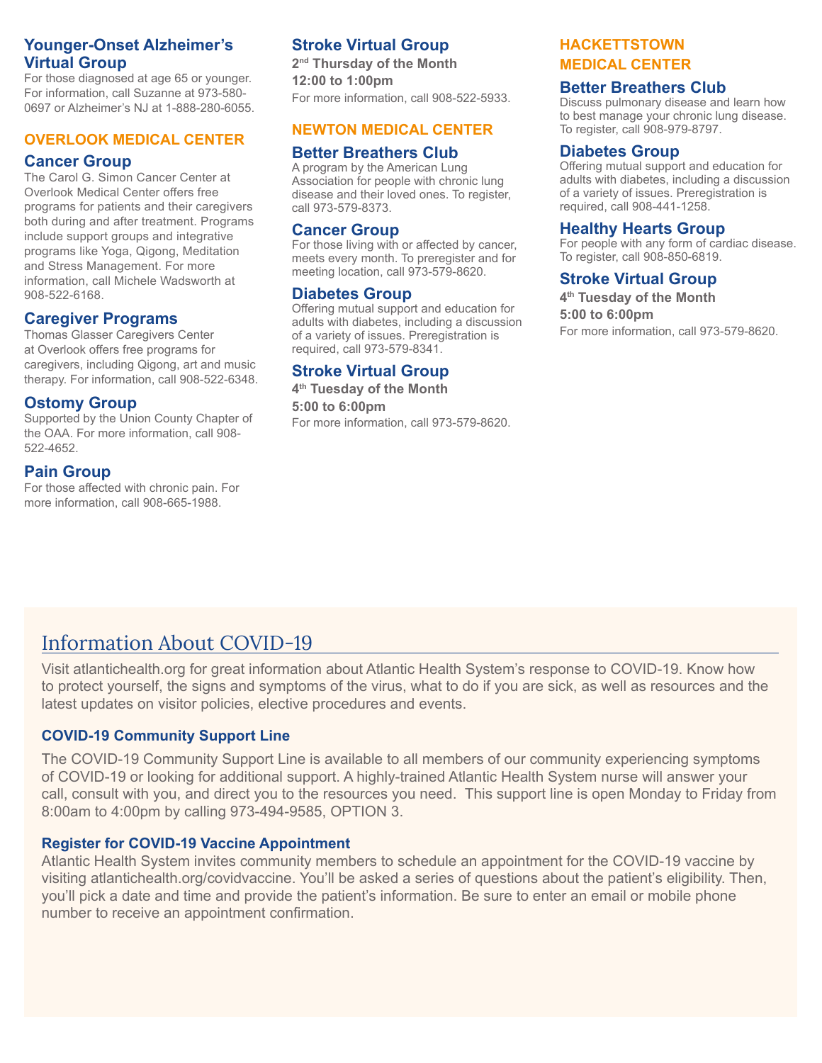# **Younger-Onset Alzheimer's Virtual Group**

For those diagnosed at age 65 or younger. For information, call Suzanne at 973-580- 0697 or Alzheimer's NJ at 1-888-280-6055.

## **OVERLOOK MEDICAL CENTER**

#### **Cancer Group**

The Carol G. Simon Cancer Center at Overlook Medical Center offers free programs for patients and their caregivers both during and after treatment. Programs include support groups and integrative programs like Yoga, Qigong, Meditation and Stress Management. For more information, call Michele Wadsworth at 908-522-6168.

# **Caregiver Programs**

Thomas Glasser Caregivers Center at Overlook offers free programs for caregivers, including Qigong, art and music therapy. For information, call 908-522-6348.

# **Ostomy Group**

Supported by the Union County Chapter of the OAA. For more information, call 908- 522-4652.

# **Pain Group**

For those affected with chronic pain. For more information, call 908-665-1988.

# **Stroke Virtual Group**

**2nd Thursday of the Month 12:00 to 1:00pm** For more information, call 908-522-5933.

## **NEWTON MEDICAL CENTER**

## **Better Breathers Club**

A program by the American Lung Association for people with chronic lung disease and their loved ones. To register, call 973-579-8373.

#### **Cancer Group**

For those living with or affected by cancer, meets every month. To preregister and for meeting location, call 973-579-8620.

## **Diabetes Group**

Offering mutual support and education for adults with diabetes, including a discussion of a variety of issues. Preregistration is required, call 973-579-8341.

# **Stroke Virtual Group**

**4th Tuesday of the Month 5:00 to 6:00pm** For more information, call 973-579-8620.

## **HACKETTSTOWN MEDICAL CENTER**

#### **Better Breathers Club**

Discuss pulmonary disease and learn how to best manage your chronic lung disease. To register, call 908-979-8797.

#### **Diabetes Group**

Offering mutual support and education for adults with diabetes, including a discussion of a variety of issues. Preregistration is required, call 908-441-1258.

#### **Healthy Hearts Group**

For people with any form of cardiac disease. To register, call 908-850-6819.

# **Stroke Virtual Group**

**4th Tuesday of the Month 5:00 to 6:00pm** For more information, call 973-579-8620.

# Information About COVID-19

Visit atlantichealth.org for great information about Atlantic Health System's response to COVID-19. Know how to protect yourself, the signs and symptoms of the virus, what to do if you are sick, as well as resources and the latest updates on visitor policies, elective procedures and events.

## **COVID-19 Community Support Line**

The COVID-19 Community Support Line is available to all members of our community experiencing symptoms of COVID-19 or looking for additional support. A highly-trained Atlantic Health System nurse will answer your call, consult with you, and direct you to the resources you need. This support line is open Monday to Friday from 8:00am to 4:00pm by calling 973-494-9585, OPTION 3.

# **Register for COVID-19 Vaccine Appointment**

Atlantic Health System invites community members to schedule an appointment for the COVID-19 vaccine by visiting atlantichealth.org/covidvaccine. You'll be asked a series of questions about the patient's eligibility. Then, you'll pick a date and time and provide the patient's information. Be sure to enter an email or mobile phone number to receive an appointment confirmation.